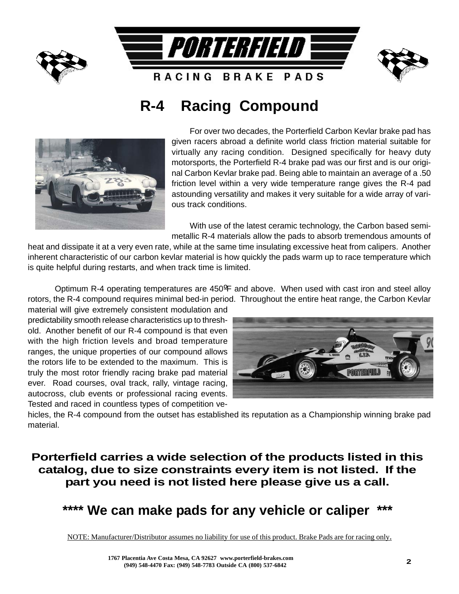

# **R-4 Racing Compound**



For over two decades, the Porterfield Carbon Kevlar brake pad has given racers abroad a definite world class friction material suitable for virtually any racing condition. Designed specifically for heavy duty motorsports, the Porterfield R-4 brake pad was our first and is our original Carbon Kevlar brake pad. Being able to maintain an average of a .50 friction level within a very wide temperature range gives the R-4 pad astounding versatility and makes it very suitable for a wide array of various track conditions.

With use of the latest ceramic technology, the Carbon based semimetallic R-4 materials allow the pads to absorb tremendous amounts of

heat and dissipate it at a very even rate, while at the same time insulating excessive heat from calipers. Another inherent characteristic of our carbon kevlar material is how quickly the pads warm up to race temperature which is quite helpful during restarts, and when track time is limited.

Optimum R-4 operating temperatures are 450ºF and above. When used with cast iron and steel alloy rotors, the R-4 compound requires minimal bed-in period. Throughout the entire heat range, the Carbon Kevlar

material will give extremely consistent modulation and predictability smooth release characteristics up to threshold. Another benefit of our R-4 compound is that even with the high friction levels and broad temperature ranges, the unique properties of our compound allows the rotors life to be extended to the maximum. This is truly the most rotor friendly racing brake pad material ever. Road courses, oval track, rally, vintage racing, autocross, club events or professional racing events. Tested and raced in countless types of competition ve-



hicles, the R-4 compound from the outset has established its reputation as a Championship winning brake pad material.

**Porterfield carries a wide selection of the products listed in this catalog, due to size constraints every item is not listed. If the part you need is not listed here please give us a call.**

\*\*\*\* We can make pads for any vehicle or caliper

NOTE: Manufacturer/Distributor assumes no liability for use of this product. Brake Pads are for racing only.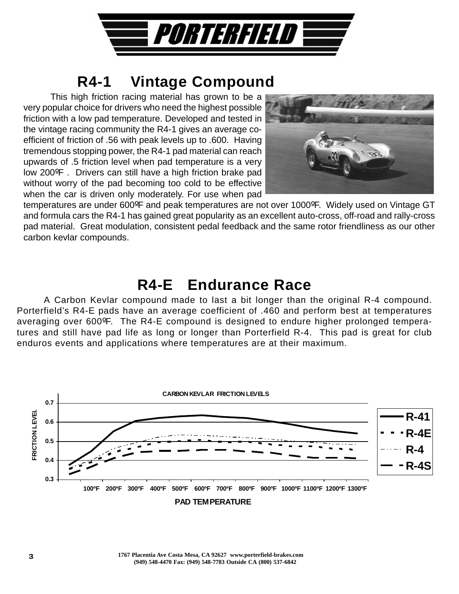

# **R4-1 Vintage Compound**

This high friction racing material has grown to be a very popular choice for drivers who need the highest possible friction with a low pad temperature. Developed and tested in the vintage racing community the R4-1 gives an average coefficient of friction of .56 with peak levels up to .600. Having tremendous stopping power, the R4-1 pad material can reach upwards of .5 friction level when pad temperature is a very low 200ºF . Drivers can still have a high friction brake pad without worry of the pad becoming too cold to be effective when the car is driven only moderately. For use when pad



temperatures are under 600ºF and peak temperatures are not over 1000ºF. Widely used on Vintage GT and formula cars the R4-1 has gained great popularity as an excellent auto-cross, off-road and rally-cross pad material. Great modulation, consistent pedal feedback and the same rotor friendliness as our other carbon kevlar compounds.

# **R4-E Endurance Race**

A Carbon Kevlar compound made to last a bit longer than the original R-4 compound. Porterfield's R4-E pads have an average coefficient of .460 and perform best at temperatures averaging over 600ºF. The R4-E compound is designed to endure higher prolonged temperatures and still have pad life as long or longer than Porterfield R-4. This pad is great for club enduros events and applications where temperatures are at their maximum.